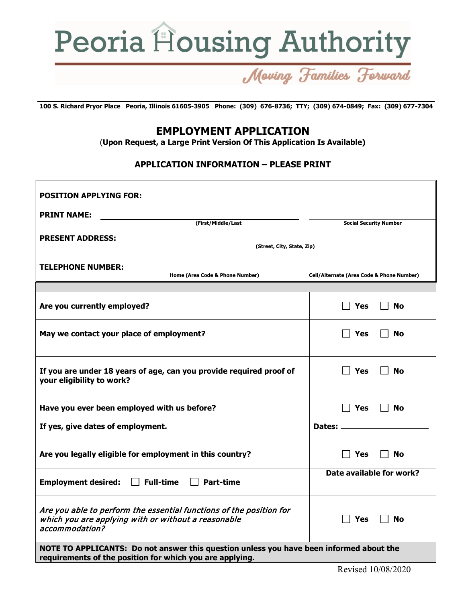

# Moving Families Forward

**100 S. Richard Pryor Place Peoria, Illinois 61605-3905 Phone: (309) 676-8736; TTY; (309) 674-0849; Fax: (309) 677-7304**

## **EMPLOYMENT APPLICATION**

(**Upon Request, a Large Print Version Of This Application Is Available)**

#### **APPLICATION INFORMATION – PLEASE PRINT**

| <b>POSITION APPLYING FOR:</b>                                                                                                                       |                                           |
|-----------------------------------------------------------------------------------------------------------------------------------------------------|-------------------------------------------|
| <b>PRINT NAME:</b>                                                                                                                                  |                                           |
| (First/Middle/Last                                                                                                                                  | <b>Social Security Number</b>             |
| <b>PRESENT ADDRESS:</b>                                                                                                                             |                                           |
| (Street, City, State, Zip)                                                                                                                          |                                           |
| <b>TELEPHONE NUMBER:</b>                                                                                                                            |                                           |
| Home (Area Code & Phone Number)                                                                                                                     | Cell/Alternate (Area Code & Phone Number) |
|                                                                                                                                                     |                                           |
| Are you currently employed?                                                                                                                         | Yes<br><b>No</b>                          |
| May we contact your place of employment?                                                                                                            | Yes<br>No                                 |
| If you are under 18 years of age, can you provide required proof of<br>your eligibility to work?                                                    | Yes<br>No                                 |
| Have you ever been employed with us before?                                                                                                         | Yes<br>No                                 |
| If yes, give dates of employment.                                                                                                                   | Dates: ____________                       |
| Are you legally eligible for employment in this country?                                                                                            | Yes<br><b>No</b>                          |
| <b>Employment desired:</b><br>$\Box$ Full-time<br><b>Part-time</b>                                                                                  | Date available for work?                  |
| Are you able to perform the essential functions of the position for<br>which you are applying with or without a reasonable<br>accommodation?        | Yes<br><b>No</b>                          |
| NOTE TO APPLICANTS: Do not answer this question unless you have been informed about the<br>requirements of the position for which you are applying. |                                           |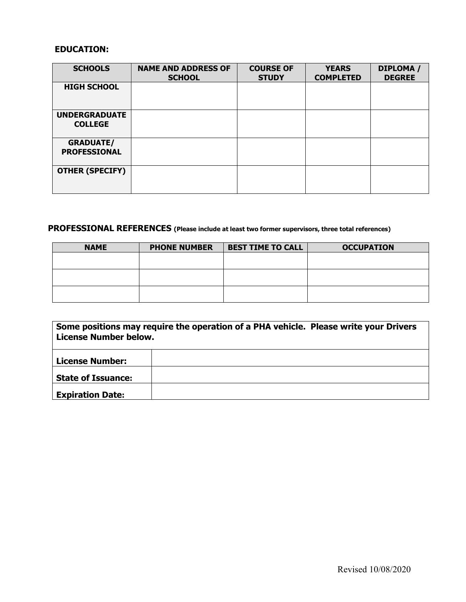#### **EDUCATION:**

| <b>SCHOOLS</b>                          | <b>NAME AND ADDRESS OF</b><br><b>SCHOOL</b> | <b>COURSE OF</b><br><b>STUDY</b> | <b>YEARS</b><br><b>COMPLETED</b> | DIPLOMA /<br><b>DEGREE</b> |
|-----------------------------------------|---------------------------------------------|----------------------------------|----------------------------------|----------------------------|
| <b>HIGH SCHOOL</b>                      |                                             |                                  |                                  |                            |
| <b>UNDERGRADUATE</b><br><b>COLLEGE</b>  |                                             |                                  |                                  |                            |
| <b>GRADUATE/</b><br><b>PROFESSIONAL</b> |                                             |                                  |                                  |                            |
| <b>OTHER (SPECIFY)</b>                  |                                             |                                  |                                  |                            |

### **PROFESSIONAL REFERENCES (Please include at least two former supervisors, three total references)**

| <b>NAME</b> | <b>BEST TIME TO CALL</b><br><b>PHONE NUMBER</b> |  | <b>OCCUPATION</b> |  |
|-------------|-------------------------------------------------|--|-------------------|--|
|             |                                                 |  |                   |  |
|             |                                                 |  |                   |  |
|             |                                                 |  |                   |  |
|             |                                                 |  |                   |  |
|             |                                                 |  |                   |  |
|             |                                                 |  |                   |  |

| Some positions may require the operation of a PHA vehicle. Please write your Drivers<br><b>License Number below.</b> |  |  |  |  |
|----------------------------------------------------------------------------------------------------------------------|--|--|--|--|
| <b>License Number:</b>                                                                                               |  |  |  |  |
| <b>State of Issuance:</b>                                                                                            |  |  |  |  |
| <b>Expiration Date:</b>                                                                                              |  |  |  |  |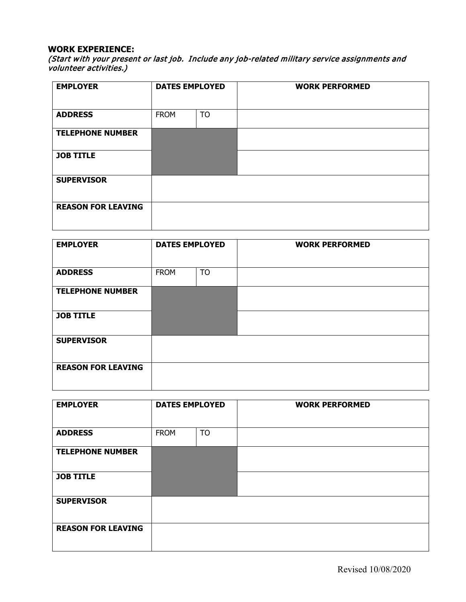#### **WORK EXPERIENCE:**

(Start with your present or last job. Include any job-related military service assignments and volunteer activities.)

| <b>EMPLOYER</b>           | <b>DATES EMPLOYED</b> |           | <b>WORK PERFORMED</b> |
|---------------------------|-----------------------|-----------|-----------------------|
| <b>ADDRESS</b>            | <b>FROM</b>           | <b>TO</b> |                       |
| <b>TELEPHONE NUMBER</b>   |                       |           |                       |
| <b>JOB TITLE</b>          |                       |           |                       |
| <b>SUPERVISOR</b>         |                       |           |                       |
| <b>REASON FOR LEAVING</b> |                       |           |                       |

| <b>EMPLOYER</b>           | <b>DATES EMPLOYED</b> |           | <b>WORK PERFORMED</b> |
|---------------------------|-----------------------|-----------|-----------------------|
| <b>ADDRESS</b>            | <b>FROM</b>           | <b>TO</b> |                       |
| <b>TELEPHONE NUMBER</b>   |                       |           |                       |
| <b>JOB TITLE</b>          |                       |           |                       |
| <b>SUPERVISOR</b>         |                       |           |                       |
| <b>REASON FOR LEAVING</b> |                       |           |                       |

| <b>EMPLOYER</b>           | <b>DATES EMPLOYED</b> |           | <b>WORK PERFORMED</b> |
|---------------------------|-----------------------|-----------|-----------------------|
| <b>ADDRESS</b>            | <b>FROM</b>           | <b>TO</b> |                       |
| <b>TELEPHONE NUMBER</b>   |                       |           |                       |
| <b>JOB TITLE</b>          |                       |           |                       |
| <b>SUPERVISOR</b>         |                       |           |                       |
| <b>REASON FOR LEAVING</b> |                       |           |                       |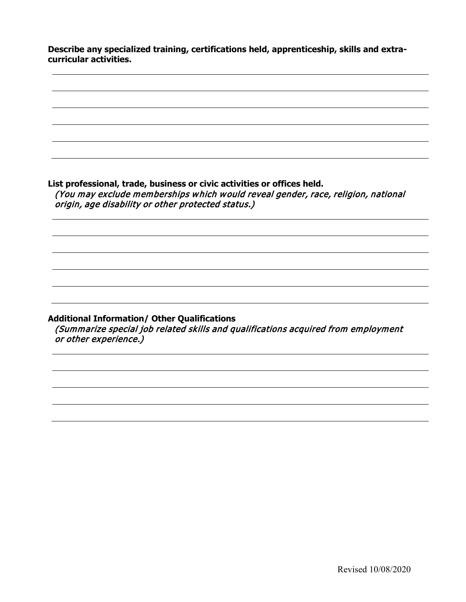**Describe any specialized training, certifications held, apprenticeship, skills and extracurricular activities.**

**List professional, trade, business or civic activities or offices held.**  (You may exclude memberships which would reveal gender, race, religion, national origin, age disability or other protected status.) **Additional Information/ Other Qualifications** (Summarize special job related skills and qualifications acquired from employment or other experience.)